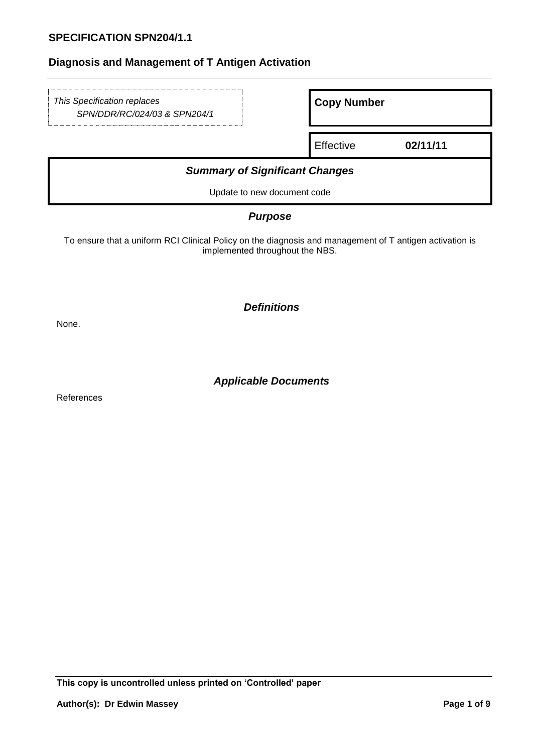| This Specification replaces<br>SPN/DDR/RC/024/03 & SPN204/1 | <b>Copy Number</b> |          |  |  |  |  |
|-------------------------------------------------------------|--------------------|----------|--|--|--|--|
|                                                             | Effective          | 02/11/11 |  |  |  |  |
| <b>Summary of Significant Changes</b>                       |                    |          |  |  |  |  |
| Update to new document code                                 |                    |          |  |  |  |  |
|                                                             |                    |          |  |  |  |  |

## *Purpose*

To ensure that a uniform RCI Clinical Policy on the diagnosis and management of T antigen activation is implemented throughout the NBS.

*Definitions*

None.

*Applicable Documents*

References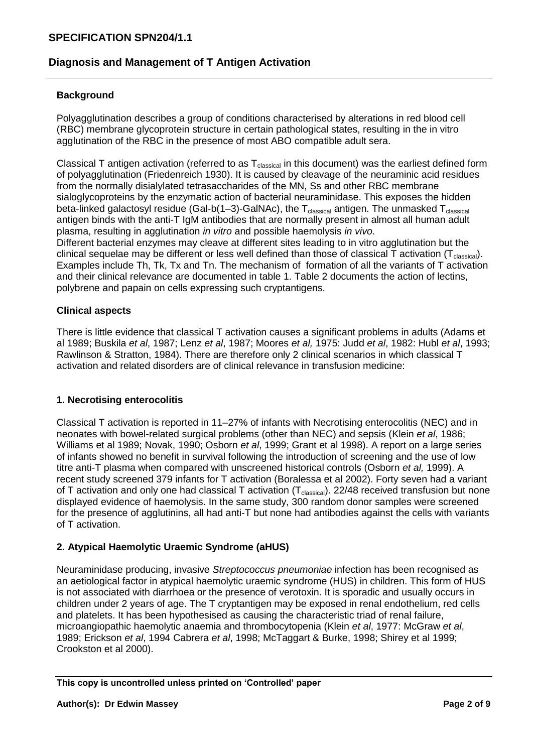# **SPECIFICATION SPN204/1.1**

# **Diagnosis and Management of T Antigen Activation**

#### **Background**

Polyagglutination describes a group of conditions characterised by alterations in red blood cell (RBC) membrane glycoprotein structure in certain pathological states, resulting in the in vitro agglutination of the RBC in the presence of most ABO compatible adult sera.

Classical T antigen activation (referred to as  $T_{classical}$  in this document) was the earliest defined form of polyagglutination (Friedenreich 1930). It is caused by cleavage of the neuraminic acid residues from the normally disialylated tetrasaccharides of the MN, Ss and other RBC membrane sialoglycoproteins by the enzymatic action of bacterial neuraminidase. This exposes the hidden beta-linked galactosyl residue (Gal-b(1–3)-GalNAc), the  $T_{classical}$  antigen. The unmasked  $T_{classical}$ antigen binds with the anti-T IgM antibodies that are normally present in almost all human adult plasma, resulting in agglutination *in vitro* and possible haemolysis *in vivo*. Different bacterial enzymes may cleave at different sites leading to in vitro agglutination but the clinical sequelae may be different or less well defined than those of classical T activation ( $T_{classical}$ ). Examples include Th, Tk, Tx and Tn. The mechanism of formation of all the variants of T activation and their clinical relevance are documented in table 1. Table 2 documents the action of lectins, polybrene and papain on cells expressing such cryptantigens.

#### **Clinical aspects**

There is little evidence that classical T activation causes a significant problems in adults (Adams et al 1989; Buskila *et al*, 1987; Lenz *et al*, 1987; Moores *et al,* 1975: Judd *et al*, 1982: Hubl *et al*, 1993; Rawlinson & Stratton, 1984). There are therefore only 2 clinical scenarios in which classical T activation and related disorders are of clinical relevance in transfusion medicine:

#### **1. Necrotising enterocolitis**

Classical T activation is reported in 11–27% of infants with Necrotising enterocolitis (NEC) and in neonates with bowel-related surgical problems (other than NEC) and sepsis (Klein *et al*, 1986; Williams et al 1989; Novak, 1990; Osborn *et al*, 1999; Grant et al 1998). A report on a large series of infants showed no benefit in survival following the introduction of screening and the use of low titre anti-T plasma when compared with unscreened historical controls (Osborn *et al,* 1999). A recent study screened 379 infants for T activation (Boralessa et al 2002). Forty seven had a variant of T activation and only one had classical T activation  $(T_{classical})$ . 22/48 received transfusion but none displayed evidence of haemolysis. In the same study, 300 random donor samples were screened for the presence of agglutinins, all had anti-T but none had antibodies against the cells with variants of T activation.

### **2. Atypical Haemolytic Uraemic Syndrome (aHUS)**

Neuraminidase producing, invasive *Streptococcus pneumoniae* infection has been recognised as an aetiological factor in atypical haemolytic uraemic syndrome (HUS) in children. This form of HUS is not associated with diarrhoea or the presence of verotoxin. It is sporadic and usually occurs in children under 2 years of age. The T cryptantigen may be exposed in renal endothelium, red cells and platelets. It has been hypothesised as causing the characteristic triad of renal failure, microangiopathic haemolytic anaemia and thrombocytopenia (Klein *et al*, 1977: McGraw *et al*, 1989; Erickson *et al*, 1994 Cabrera *et al*, 1998; McTaggart & Burke, 1998; Shirey et al 1999; Crookston et al 2000).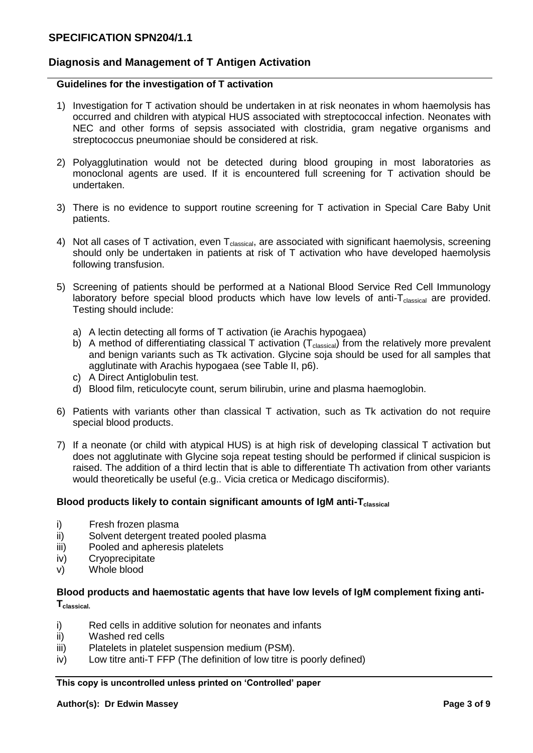### **Guidelines for the investigation of T activation**

- 1) Investigation for T activation should be undertaken in at risk neonates in whom haemolysis has occurred and children with atypical HUS associated with streptococcal infection. Neonates with NEC and other forms of sepsis associated with clostridia, gram negative organisms and streptococcus pneumoniae should be considered at risk.
- 2) Polyagglutination would not be detected during blood grouping in most laboratories as monoclonal agents are used. If it is encountered full screening for T activation should be undertaken.
- 3) There is no evidence to support routine screening for T activation in Special Care Baby Unit patients.
- 4) Not all cases of T activation, even  $T_{classical}$ , are associated with significant haemolysis, screening should only be undertaken in patients at risk of T activation who have developed haemolysis following transfusion.
- 5) Screening of patients should be performed at a National Blood Service Red Cell Immunology laboratory before special blood products which have low levels of anti- $T_{classical}$  are provided. Testing should include:
	- a) A lectin detecting all forms of T activation (ie Arachis hypogaea)
	- b) A method of differentiating classical T activation  $(T_{classical})$  from the relatively more prevalent and benign variants such as Tk activation. Glycine soja should be used for all samples that agglutinate with Arachis hypogaea (see Table II, p6).
	- c) A Direct Antiglobulin test.
	- d) Blood film, reticulocyte count, serum bilirubin, urine and plasma haemoglobin.
- 6) Patients with variants other than classical T activation, such as Tk activation do not require special blood products.
- 7) If a neonate (or child with atypical HUS) is at high risk of developing classical T activation but does not agglutinate with Glycine soja repeat testing should be performed if clinical suspicion is raised. The addition of a third lectin that is able to differentiate Th activation from other variants would theoretically be useful (e.g.. Vicia cretica or Medicago disciformis).

#### **Blood products likely to contain significant amounts of IgM anti-Tclassical**

- i) Fresh frozen plasma
- ii) Solvent detergent treated pooled plasma
- iii) Pooled and apheresis platelets
- iv) Cryoprecipitate
- v) Whole blood

### **Blood products and haemostatic agents that have low levels of IgM complement fixing anti-Tclassical.**

- i) Red cells in additive solution for neonates and infants
- ii) Washed red cells
- iii) Platelets in platelet suspension medium (PSM).
- iv) Low titre anti-T FFP (The definition of low titre is poorly defined)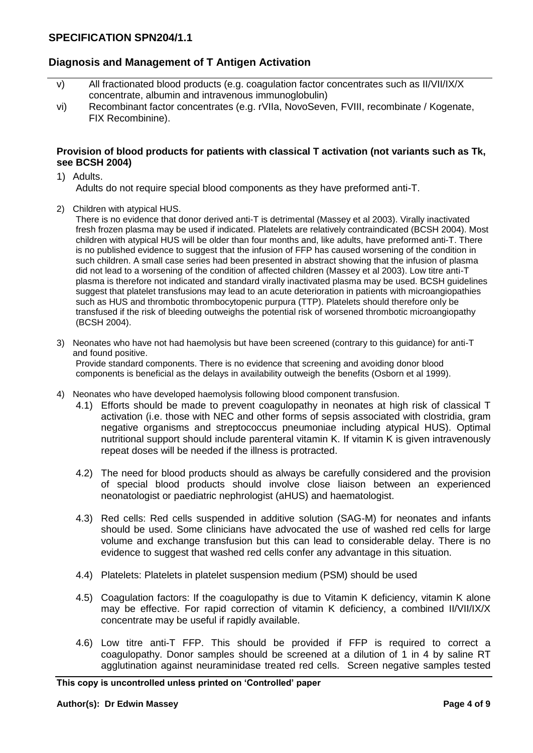- v) All fractionated blood products (e.g. coagulation factor concentrates such as II/VII/IX/X concentrate, albumin and intravenous immunoglobulin)
- vi) Recombinant factor concentrates (e.g. rVIIa, NovoSeven, FVIII, recombinate / Kogenate, FIX Recombinine).

#### **Provision of blood products for patients with classical T activation (not variants such as Tk, see BCSH 2004)**

1) Adults.

Adults do not require special blood components as they have preformed anti-T.

2) Children with atypical HUS.

There is no evidence that donor derived anti-T is detrimental (Massey et al 2003). Virally inactivated fresh frozen plasma may be used if indicated. Platelets are relatively contraindicated (BCSH 2004). Most children with atypical HUS will be older than four months and, like adults, have preformed anti-T. There is no published evidence to suggest that the infusion of FFP has caused worsening of the condition in such children. A small case series had been presented in abstract showing that the infusion of plasma did not lead to a worsening of the condition of affected children (Massey et al 2003). Low titre anti-T plasma is therefore not indicated and standard virally inactivated plasma may be used. BCSH guidelines suggest that platelet transfusions may lead to an acute deterioration in patients with microangiopathies such as HUS and thrombotic thrombocytopenic purpura (TTP). Platelets should therefore only be transfused if the risk of bleeding outweighs the potential risk of worsened thrombotic microangiopathy (BCSH 2004).

- 3) Neonates who have not had haemolysis but have been screened (contrary to this guidance) for anti-T and found positive. Provide standard components. There is no evidence that screening and avoiding donor blood components is beneficial as the delays in availability outweigh the benefits (Osborn et al 1999).
- 4) Neonates who have developed haemolysis following blood component transfusion.
	- 4.1) Efforts should be made to prevent coagulopathy in neonates at high risk of classical T activation (i.e. those with NEC and other forms of sepsis associated with clostridia, gram negative organisms and streptococcus pneumoniae including atypical HUS). Optimal nutritional support should include parenteral vitamin K. If vitamin K is given intravenously repeat doses will be needed if the illness is protracted.
	- 4.2) The need for blood products should as always be carefully considered and the provision of special blood products should involve close liaison between an experienced neonatologist or paediatric nephrologist (aHUS) and haematologist.
	- 4.3) Red cells: Red cells suspended in additive solution (SAG-M) for neonates and infants should be used. Some clinicians have advocated the use of washed red cells for large volume and exchange transfusion but this can lead to considerable delay. There is no evidence to suggest that washed red cells confer any advantage in this situation.
	- 4.4) Platelets: Platelets in platelet suspension medium (PSM) should be used
	- 4.5) Coagulation factors: If the coagulopathy is due to Vitamin K deficiency, vitamin K alone may be effective. For rapid correction of vitamin K deficiency, a combined II/VII/IX/X concentrate may be useful if rapidly available.
	- 4.6) Low titre anti-T FFP. This should be provided if FFP is required to correct a coagulopathy. Donor samples should be screened at a dilution of 1 in 4 by saline RT agglutination against neuraminidase treated red cells. Screen negative samples tested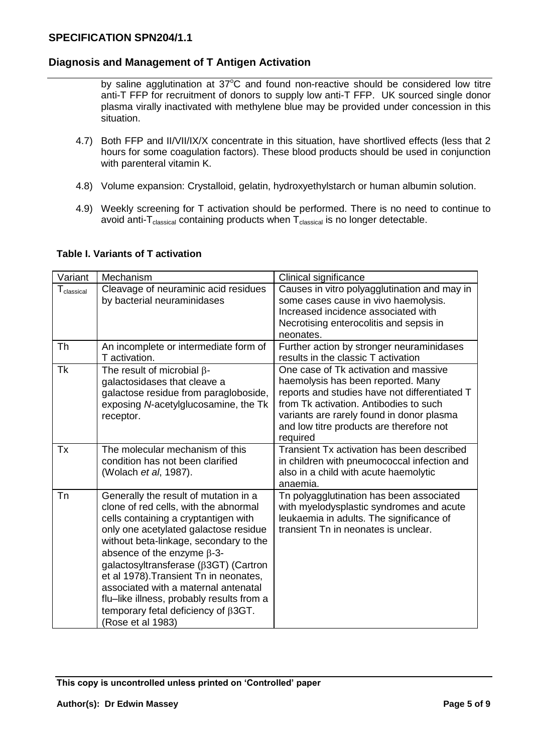by saline agglutination at  $37^{\circ}$ C and found non-reactive should be considered low titre anti-T FFP for recruitment of donors to supply low anti-T FFP. UK sourced single donor plasma virally inactivated with methylene blue may be provided under concession in this situation.

- 4.7) Both FFP and II/VII/IX/X concentrate in this situation, have shortlived effects (less that 2 hours for some coagulation factors). These blood products should be used in conjunction with parenteral vitamin K.
- 4.8) Volume expansion: Crystalloid, gelatin, hydroxyethylstarch or human albumin solution.
- 4.9) Weekly screening for T activation should be performed. There is no need to continue to avoid anti- $T_{\text{classical}}$  containing products when  $T_{\text{classical}}$  is no longer detectable.

| Variant                | Mechanism                                                                                                                                                                                                                                                                                                                                                                                                                                                                                         | Clinical significance                                                                                                                                                                                                                                                       |
|------------------------|---------------------------------------------------------------------------------------------------------------------------------------------------------------------------------------------------------------------------------------------------------------------------------------------------------------------------------------------------------------------------------------------------------------------------------------------------------------------------------------------------|-----------------------------------------------------------------------------------------------------------------------------------------------------------------------------------------------------------------------------------------------------------------------------|
| $T_{\text{classical}}$ | Cleavage of neuraminic acid residues<br>by bacterial neuraminidases                                                                                                                                                                                                                                                                                                                                                                                                                               | Causes in vitro polyagglutination and may in<br>some cases cause in vivo haemolysis.<br>Increased incidence associated with<br>Necrotising enterocolitis and sepsis in<br>neonates.                                                                                         |
| <b>Th</b>              | An incomplete or intermediate form of<br>T activation.                                                                                                                                                                                                                                                                                                                                                                                                                                            | Further action by stronger neuraminidases<br>results in the classic T activation                                                                                                                                                                                            |
| <b>Tk</b>              | The result of microbial $\beta$ -<br>galactosidases that cleave a<br>galactose residue from paragloboside,<br>exposing N-acetylglucosamine, the Tk<br>receptor.                                                                                                                                                                                                                                                                                                                                   | One case of Tk activation and massive<br>haemolysis has been reported. Many<br>reports and studies have not differentiated T<br>from Tk activation. Antibodies to such<br>variants are rarely found in donor plasma<br>and low titre products are therefore not<br>required |
| Tx                     | The molecular mechanism of this<br>condition has not been clarified<br>(Wolach et al, 1987).                                                                                                                                                                                                                                                                                                                                                                                                      | Transient Tx activation has been described<br>in children with pneumococcal infection and<br>also in a child with acute haemolytic<br>anaemia.                                                                                                                              |
| Tn                     | Generally the result of mutation in a<br>clone of red cells, with the abnormal<br>cells containing a cryptantigen with<br>only one acetylated galactose residue<br>without beta-linkage, secondary to the<br>absence of the enzyme $\beta$ -3-<br>galactosyltransferase ( $\beta$ 3GT) (Cartron<br>et al 1978). Transient Tn in neonates,<br>associated with a maternal antenatal<br>flu-like illness, probably results from a<br>temporary fetal deficiency of $\beta$ 3GT.<br>(Rose et al 1983) | Tn polyagglutination has been associated<br>with myelodysplastic syndromes and acute<br>leukaemia in adults. The significance of<br>transient Tn in neonates is unclear.                                                                                                    |

#### **Table I. Variants of T activation**

**This copy is uncontrolled unless printed on 'Controlled' paper**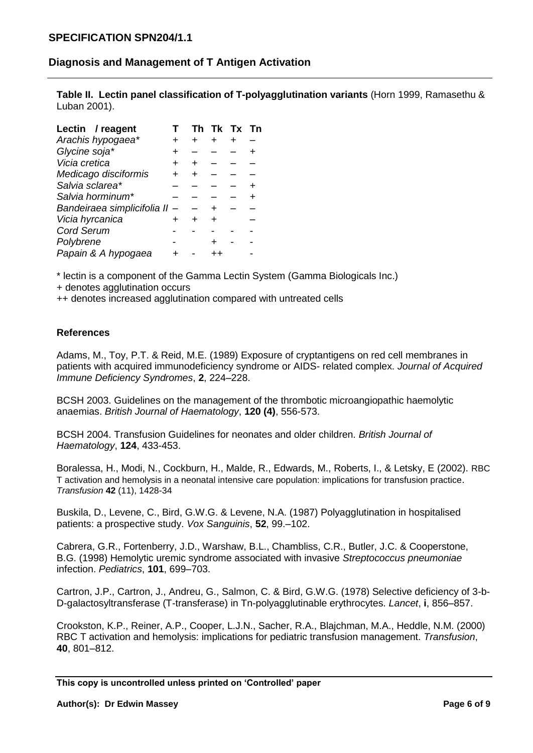**Table II. Lectin panel classification of T-polyagglutination variants** (Horn 1999, Ramasethu & Luban 2001).

| Lectin / reagent            | Тh | Tk Tx Tn |  |
|-----------------------------|----|----------|--|
| Arachis hypogaea*           | +  |          |  |
| Glycine soja*               |    |          |  |
| Vicia cretica               | +  |          |  |
| Medicago disciformis        |    |          |  |
| Salvia sclarea*             |    |          |  |
| Salvia horminum*            |    |          |  |
| Bandeiraea simplicifolia II |    |          |  |
| Vicia hyrcanica             |    |          |  |
| <b>Cord Serum</b>           |    |          |  |
| Polybrene                   |    |          |  |
| Papain & A hypogaea         |    |          |  |

\* lectin is a component of the Gamma Lectin System (Gamma Biologicals Inc.)

+ denotes agglutination occurs

++ denotes increased agglutination compared with untreated cells

# **References**

Adams, M., Toy, P.T. & Reid, M.E. (1989) Exposure of cryptantigens on red cell membranes in patients with acquired immunodeficiency syndrome or AIDS- related complex. *Journal of Acquired Immune Deficiency Syndromes*, **2**, 224–228.

BCSH 2003. Guidelines on the management of the thrombotic microangiopathic haemolytic anaemias. *British Journal of Haematology*, **120 (4)**, 556-573.

BCSH 2004. Transfusion Guidelines for neonates and older children. *British Journal of Haematology*, **124**, 433-453.

Boralessa, H., Modi, N., Cockburn, H., Malde, R., Edwards, M., Roberts, I., & Letsky, E (2002). RBC T activation and hemolysis in a neonatal intensive care population: implications for transfusion practice. *Transfusion* **42** (11), 1428-34

Buskila, D., Levene, C., Bird, G.W.G. & Levene, N.A. (1987) Polyagglutination in hospitalised patients: a prospective study. *Vox Sanguinis*, **52**, 99.–102.

Cabrera, G.R., Fortenberry, J.D., Warshaw, B.L., Chambliss, C.R., Butler, J.C. & Cooperstone, B.G. (1998) Hemolytic uremic syndrome associated with invasive *Streptococcus pneumoniae* infection. *Pediatrics*, **101**, 699–703.

Cartron, J.P., Cartron, J., Andreu, G., Salmon, C. & Bird, G.W.G. (1978) Selective deficiency of 3-b-D-galactosyltransferase (T-transferase) in Tn-polyagglutinable erythrocytes. *Lancet*, **i**, 856–857.

Crookston, K.P., Reiner, A.P., Cooper, L.J.N., Sacher, R.A., Blajchman, M.A., Heddle, N.M. (2000) RBC T activation and hemolysis: implications for pediatric transfusion management. *Transfusion*, **40**, 801–812.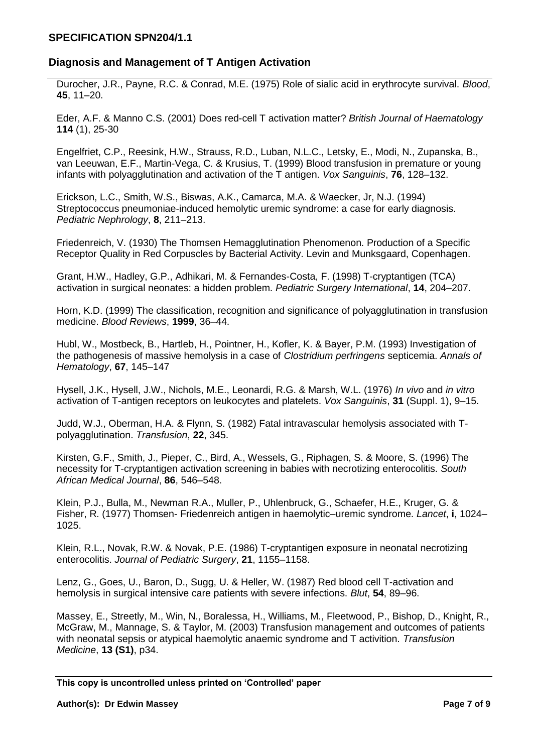Durocher, J.R., Payne, R.C. & Conrad, M.E. (1975) Role of sialic acid in erythrocyte survival. *Blood*, **45**, 11–20.

Eder, A.F. & Manno C.S. (2001) Does red-cell T activation matter? *British Journal of Haematology* **114** (1), 25-30

Engelfriet, C.P., Reesink, H.W., Strauss, R.D., Luban, N.L.C., Letsky, E., Modi, N., Zupanska, B., van Leeuwan, E.F., Martin-Vega, C. & Krusius, T. (1999) Blood transfusion in premature or young infants with polyagglutination and activation of the T antigen. *Vox Sanguinis*, **76**, 128–132.

Erickson, L.C., Smith, W.S., Biswas, A.K., Camarca, M.A. & Waecker, Jr, N.J. (1994) Streptococcus pneumoniae-induced hemolytic uremic syndrome: a case for early diagnosis. *Pediatric Nephrology*, **8**, 211–213.

Friedenreich, V. (1930) The Thomsen Hemagglutination Phenomenon. Production of a Specific Receptor Quality in Red Corpuscles by Bacterial Activity. Levin and Munksgaard, Copenhagen.

Grant, H.W., Hadley, G.P., Adhikari, M. & Fernandes-Costa, F. (1998) T-cryptantigen (TCA) activation in surgical neonates: a hidden problem. *Pediatric Surgery International*, **14**, 204–207.

Horn, K.D. (1999) The classification, recognition and significance of polyagglutination in transfusion medicine. *Blood Reviews*, **1999**, 36–44.

Hubl, W., Mostbeck, B., Hartleb, H., Pointner, H., Kofler, K. & Bayer, P.M. (1993) Investigation of the pathogenesis of massive hemolysis in a case of *Clostridium perfringens* septicemia. *Annals of Hematology*, **67**, 145–147

Hysell, J.K., Hysell, J.W., Nichols, M.E., Leonardi, R.G. & Marsh, W.L. (1976) *In vivo* and *in vitro* activation of T-antigen receptors on leukocytes and platelets. *Vox Sanguinis*, **31** (Suppl. 1), 9–15.

Judd, W.J., Oberman, H.A. & Flynn, S. (1982) Fatal intravascular hemolysis associated with Tpolyagglutination. *Transfusion*, **22**, 345.

Kirsten, G.F., Smith, J., Pieper, C., Bird, A., Wessels, G., Riphagen, S. & Moore, S. (1996) The necessity for T-cryptantigen activation screening in babies with necrotizing enterocolitis. *South African Medical Journal*, **86**, 546–548.

Klein, P.J., Bulla, M., Newman R.A., Muller, P., Uhlenbruck, G., Schaefer, H.E., Kruger, G. & Fisher, R. (1977) Thomsen- Friedenreich antigen in haemolytic–uremic syndrome. *Lancet*, **i**, 1024– 1025.

Klein, R.L., Novak, R.W. & Novak, P.E. (1986) T-cryptantigen exposure in neonatal necrotizing enterocolitis. *Journal of Pediatric Surgery*, **21**, 1155–1158.

Lenz, G., Goes, U., Baron, D., Sugg, U. & Heller, W. (1987) Red blood cell T-activation and hemolysis in surgical intensive care patients with severe infections. *Blut*, **54**, 89–96.

Massey, E., Streetly, M., Win, N., Boralessa, H., Williams, M., Fleetwood, P., Bishop, D., Knight, R., McGraw, M., Mannage, S. & Taylor, M. (2003) Transfusion management and outcomes of patients with neonatal sepsis or atypical haemolytic anaemic syndrome and T activition. *Transfusion Medicine*, **13 (S1)**, p34.

**This copy is uncontrolled unless printed on 'Controlled' paper**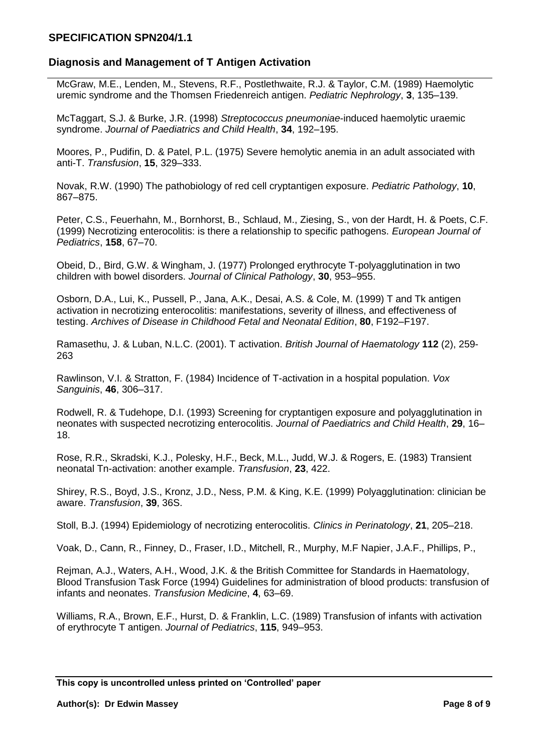### **SPECIFICATION SPN204/1.1**

## **Diagnosis and Management of T Antigen Activation**

McGraw, M.E., Lenden, M., Stevens, R.F., Postlethwaite, R.J. & Taylor, C.M. (1989) Haemolytic uremic syndrome and the Thomsen Friedenreich antigen. *Pediatric Nephrology*, **3**, 135–139.

McTaggart, S.J. & Burke, J.R. (1998) *Streptococcus pneumoniae*-induced haemolytic uraemic syndrome. *Journal of Paediatrics and Child Health*, **34**, 192–195.

Moores, P., Pudifin, D. & Patel, P.L. (1975) Severe hemolytic anemia in an adult associated with anti-T. *Transfusion*, **15**, 329–333.

Novak, R.W. (1990) The pathobiology of red cell cryptantigen exposure. *Pediatric Pathology*, **10**, 867–875.

Peter, C.S., Feuerhahn, M., Bornhorst, B., Schlaud, M., Ziesing, S., von der Hardt, H. & Poets, C.F. (1999) Necrotizing enterocolitis: is there a relationship to specific pathogens. *European Journal of Pediatrics*, **158**, 67–70.

Obeid, D., Bird, G.W. & Wingham, J. (1977) Prolonged erythrocyte T-polyagglutination in two children with bowel disorders. *Journal of Clinical Pathology*, **30**, 953–955.

Osborn, D.A., Lui, K., Pussell, P., Jana, A.K., Desai, A.S. & Cole, M. (1999) T and Tk antigen activation in necrotizing enterocolitis: manifestations, severity of illness, and effectiveness of testing. *Archives of Disease in Childhood Fetal and Neonatal Edition*, **80**, F192–F197.

Ramasethu, J. & Luban, N.L.C. (2001). T activation. *British Journal of Haematology* **112** (2), 259- 263

Rawlinson, V.I. & Stratton, F. (1984) Incidence of T-activation in a hospital population. *Vox Sanguinis*, **46**, 306–317.

Rodwell, R. & Tudehope, D.I. (1993) Screening for cryptantigen exposure and polyagglutination in neonates with suspected necrotizing enterocolitis. *Journal of Paediatrics and Child Health*, **29**, 16– 18.

Rose, R.R., Skradski, K.J., Polesky, H.F., Beck, M.L., Judd, W.J. & Rogers, E. (1983) Transient neonatal Tn-activation: another example. *Transfusion*, **23**, 422.

Shirey, R.S., Boyd, J.S., Kronz, J.D., Ness, P.M. & King, K.E. (1999) Polyagglutination: clinician be aware. *Transfusion*, **39**, 36S.

Stoll, B.J. (1994) Epidemiology of necrotizing enterocolitis. *Clinics in Perinatology*, **21**, 205–218.

Voak, D., Cann, R., Finney, D., Fraser, I.D., Mitchell, R., Murphy, M.F Napier, J.A.F., Phillips, P.,

Rejman, A.J., Waters, A.H., Wood, J.K. & the British Committee for Standards in Haematology, Blood Transfusion Task Force (1994) Guidelines for administration of blood products: transfusion of infants and neonates. *Transfusion Medicine*, **4**, 63–69.

Williams, R.A., Brown, E.F., Hurst, D. & Franklin, L.C. (1989) Transfusion of infants with activation of erythrocyte T antigen. *Journal of Pediatrics*, **115**, 949–953.